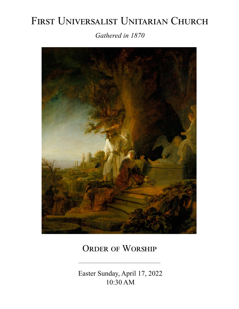# FIRST UNIVERSALIST UNITARIAN CHURCH *Gathered in 1870*



# ORDER OF WORSHIP

 Easter Sunday, April 17, 2022 10:30 AM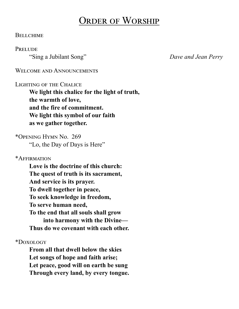# Order of Worship

## **BELLCHIME**

### **PRELUDE**

"Sing a Jubilant Song" *Dave and Jean Perry*

WELCOME AND ANNOUNCEMENTS

## Lighting of the Chalice

**We light this chalice for the light of truth, the warmth of love, and the fire of commitment. We light this symbol of our faith as we gather together.**

\*Opening Hymn No. 269 "Lo, the Day of Days is Here"

\*Affirmation

**Love is the doctrine of this church: The quest of truth is its sacrament, And service is its prayer. To dwell together in peace, To seek knowledge in freedom, To serve human need, To the end that all souls shall grow into harmony with the Divine— Thus do we covenant with each other.**

\*Doxology

**From all that dwell below the skies Let songs of hope and faith arise; Let peace, good will on earth be sung Through every land, by every tongue.**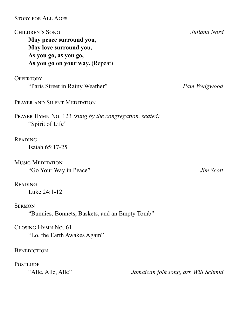Story for All Ages

Children's Song *Juliana Nord* **May peace surround you, May love surround you, As you go, as you go, As you go on your way.** (Repeat)

**OFFERTORY** 

"Paris Street in Rainy Weather" *Pam Wedgwood*

PRAYER AND SILENT MEDITATION

Prayer Hymn No. 123 *(sung by the congregation, seated)* "Spirit of Life"

# **READING**

Isaiah 65:17-25

Music Meditation "Go Your Way in Peace" *Jim Scott*

# **READING**

Luke 24:1-12

**SERMON** 

"Bunnies, Bonnets, Baskets, and an Empty Tomb"

Closing Hymn No. 61 "Lo, the Earth Awakes Again"

# **BENEDICTION**

**POSTLUDE** 

"Alle, Alle, Alle" *Jamaican folk song, arr. Will Schmid*